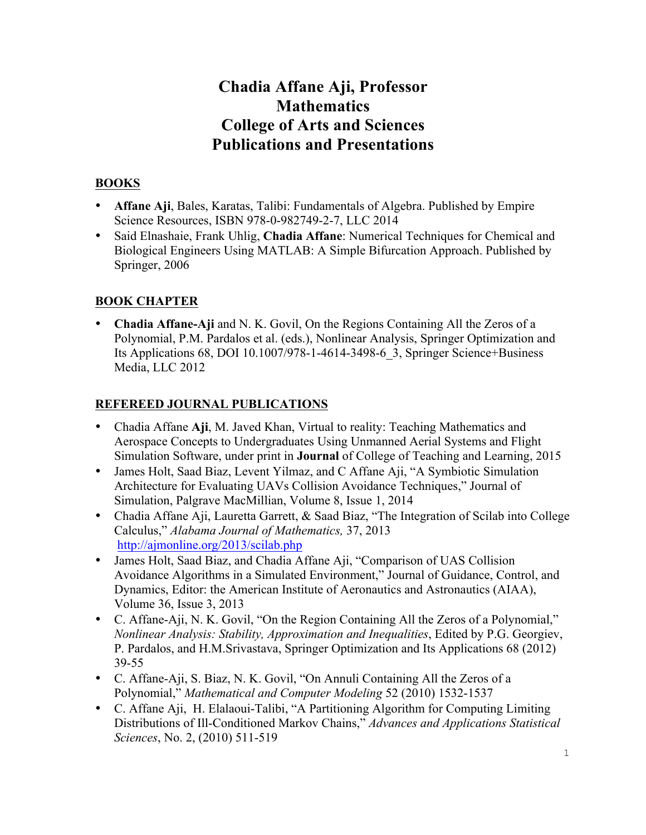# **Chadia Affane Aji, Professor Mathematics College of Arts and Sciences Publications and Presentations**

## **BOOKS**

- **Affane Aji**, Bales, Karatas, Talibi: Fundamentals of Algebra. Published by Empire Science Resources, ISBN 978-0-982749-2-7, LLC 2014
- Said Elnashaie, Frank Uhlig, **Chadia Affane**: Numerical Techniques for Chemical and Biological Engineers Using MATLAB: A Simple Bifurcation Approach. Published by Springer, 2006

### **BOOK CHAPTER**

• **Chadia Affane-Aji** and N. K. Govil, On the Regions Containing All the Zeros of a Polynomial, P.M. Pardalos et al. (eds.), Nonlinear Analysis, Springer Optimization and Its Applications 68, DOI 10.1007/978-1-4614-3498-6\_3, Springer Science+Business Media, LLC 2012

### **REFEREED JOURNAL PUBLICATIONS**

- Chadia Affane **Aji**, M. Javed Khan, Virtual to reality: Teaching Mathematics and Aerospace Concepts to Undergraduates Using Unmanned Aerial Systems and Flight Simulation Software, under print in **Journal** of College of Teaching and Learning, 2015
- James Holt, Saad Biaz, Levent Yilmaz, and C Affane Aji, "A Symbiotic Simulation Architecture for Evaluating UAVs Collision Avoidance Techniques," Journal of Simulation, Palgrave MacMillian, Volume 8, Issue 1, 2014
- Chadia Affane Aji, Lauretta Garrett, & Saad Biaz, "The Integration of Scilab into College Calculus," *Alabama Journal of Mathematics,* 37, 2013 http://ajmonline.org/2013/scilab.php
- James Holt, Saad Biaz, and Chadia Affane Aji, "Comparison of UAS Collision Avoidance Algorithms in a Simulated Environment," Journal of Guidance, Control, and Dynamics, Editor: the American Institute of Aeronautics and Astronautics (AIAA), Volume 36, Issue 3, 2013
- C. Affane-Aji, N. K. Govil, "On the Region Containing All the Zeros of a Polynomial," *Nonlinear Analysis: Stability, Approximation and Inequalities*, Edited by P.G. Georgiev, P. Pardalos, and H.M.Srivastava, Springer Optimization and Its Applications 68 (2012) 39-55
- C. Affane-Aji, S. Biaz, N. K. Govil, "On Annuli Containing All the Zeros of a Polynomial," *Mathematical and Computer Modeling* 52 (2010) 1532-1537
- C. Affane Aji, H. Elalaoui-Talibi, "A Partitioning Algorithm for Computing Limiting Distributions of Ill-Conditioned Markov Chains," *Advances and Applications Statistical Sciences*, No. 2, (2010) 511-519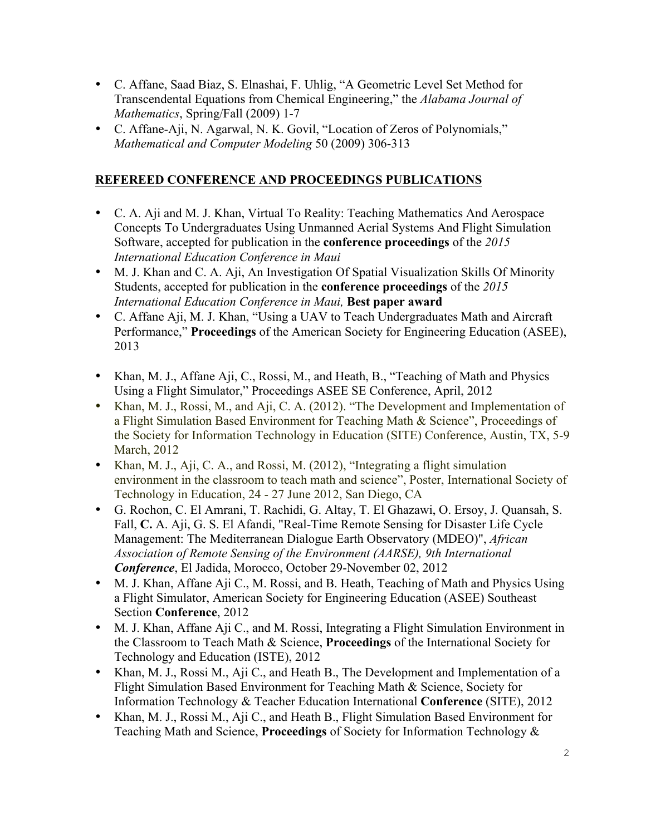- C. Affane, Saad Biaz, S. Elnashai, F. Uhlig, "A Geometric Level Set Method for Transcendental Equations from Chemical Engineering," the *Alabama Journal of Mathematics*, Spring/Fall (2009) 1-7
- C. Affane-Aji, N. Agarwal, N. K. Govil, "Location of Zeros of Polynomials," *Mathematical and Computer Modeling* 50 (2009) 306-313

### **REFEREED CONFERENCE AND PROCEEDINGS PUBLICATIONS**

- C. A. Aji and M. J. Khan, Virtual To Reality: Teaching Mathematics And Aerospace Concepts To Undergraduates Using Unmanned Aerial Systems And Flight Simulation Software, accepted for publication in the **conference proceedings** of the *2015 International Education Conference in Maui*
- M. J. Khan and C. A. Aji, An Investigation Of Spatial Visualization Skills Of Minority Students, accepted for publication in the **conference proceedings** of the *2015 International Education Conference in Maui,* **Best paper award**
- C. Affane Aji, M. J. Khan, "Using a UAV to Teach Undergraduates Math and Aircraft Performance," **Proceedings** of the American Society for Engineering Education (ASEE), 2013
- Khan, M. J., Affane Aji, C., Rossi, M., and Heath, B., "Teaching of Math and Physics Using a Flight Simulator," Proceedings ASEE SE Conference, April, 2012
- Khan, M. J., Rossi, M., and Aji, C. A. (2012). "The Development and Implementation of a Flight Simulation Based Environment for Teaching Math & Science", Proceedings of the Society for Information Technology in Education (SITE) Conference, Austin, TX, 5-9 March, 2012
- Khan, M. J., Aji, C. A., and Rossi, M. (2012), "Integrating a flight simulation environment in the classroom to teach math and science", Poster, International Society of Technology in Education, 24 - 27 June 2012, San Diego, CA
- G. Rochon, C. El Amrani, T. Rachidi, G. Altay, T. El Ghazawi, O. Ersoy, J. Quansah, S. Fall, **C.** A. Aji, G. S. El Afandi, "Real-Time Remote Sensing for Disaster Life Cycle Management: The Mediterranean Dialogue Earth Observatory (MDEO)", *African Association of Remote Sensing of the Environment (AARSE), 9th International Conference*, El Jadida, Morocco, October 29-November 02, 2012
- M. J. Khan, Affane Aji C., M. Rossi, and B. Heath, Teaching of Math and Physics Using a Flight Simulator, American Society for Engineering Education (ASEE) Southeast Section **Conference**, 2012
- M. J. Khan, Affane Aji C., and M. Rossi, Integrating a Flight Simulation Environment in the Classroom to Teach Math & Science, **Proceedings** of the International Society for Technology and Education (ISTE), 2012
- Khan, M. J., Rossi M., Aji C., and Heath B., The Development and Implementation of a Flight Simulation Based Environment for Teaching Math & Science, Society for Information Technology & Teacher Education International **Conference** (SITE), 2012
- Khan, M. J., Rossi M., Aji C., and Heath B., Flight Simulation Based Environment for Teaching Math and Science, **Proceedings** of Society for Information Technology &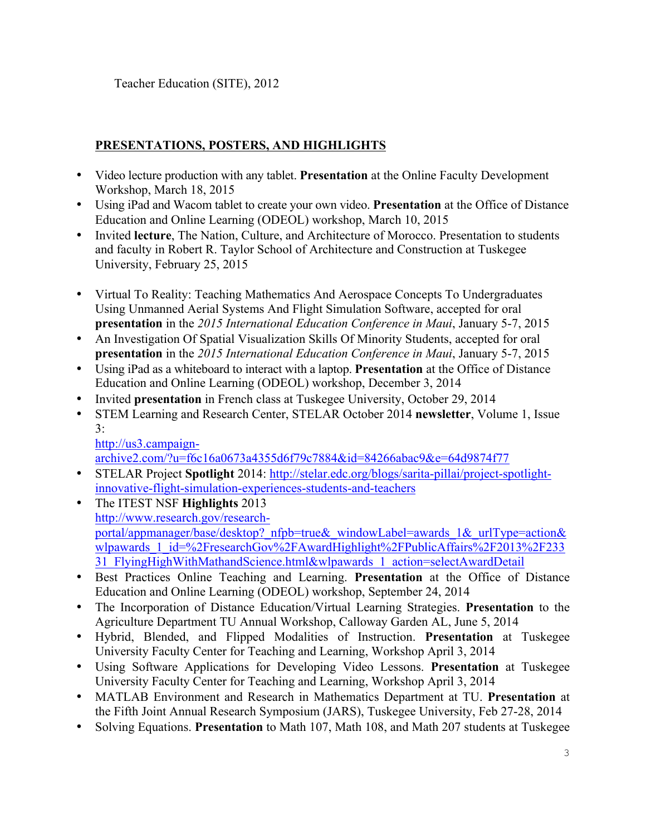Teacher Education (SITE), 2012

### **PRESENTATIONS, POSTERS, AND HIGHLIGHTS**

- Video lecture production with any tablet. **Presentation** at the Online Faculty Development Workshop, March 18, 2015
- Using iPad and Wacom tablet to create your own video. **Presentation** at the Office of Distance Education and Online Learning (ODEOL) workshop, March 10, 2015
- Invited **lecture**, The Nation, Culture, and Architecture of Morocco. Presentation to students and faculty in Robert R. Taylor School of Architecture and Construction at Tuskegee University, February 25, 2015
- Virtual To Reality: Teaching Mathematics And Aerospace Concepts To Undergraduates Using Unmanned Aerial Systems And Flight Simulation Software, accepted for oral **presentation** in the *2015 International Education Conference in Maui*, January 5-7, 2015
- An Investigation Of Spatial Visualization Skills Of Minority Students, accepted for oral **presentation** in the *2015 International Education Conference in Maui*, January 5-7, 2015
- Using iPad as a whiteboard to interact with a laptop. **Presentation** at the Office of Distance Education and Online Learning (ODEOL) workshop, December 3, 2014
- Invited **presentation** in French class at Tuskegee University, October 29, 2014
- STEM Learning and Research Center, STELAR October 2014 **newsletter**, Volume 1, Issue  $3:$

http://us3.campaign-

archive2.com/?u=f6c16a0673a4355d6f79c7884&id=84266abac9&e=64d9874f77

- STELAR Project **Spotlight** 2014: http://stelar.edc.org/blogs/sarita-pillai/project-spotlightinnovative-flight-simulation-experiences-students-and-teachers
- The ITEST NSF **Highlights** 2013 http://www.research.gov/researchportal/appmanager/base/desktop? nfpb=true& windowLabel=awards 1& urlType=action& wlpawards\_1\_id=%2FresearchGov%2FAwardHighlight%2FPublicAffairs%2F2013%2F233 31 FlyingHighWithMathandScience.html&wlpawards\_1\_action=selectAwardDetail
- Best Practices Online Teaching and Learning. **Presentation** at the Office of Distance Education and Online Learning (ODEOL) workshop, September 24, 2014
- The Incorporation of Distance Education/Virtual Learning Strategies. **Presentation** to the Agriculture Department TU Annual Workshop, Calloway Garden AL, June 5, 2014
- Hybrid, Blended, and Flipped Modalities of Instruction. **Presentation** at Tuskegee University Faculty Center for Teaching and Learning, Workshop April 3, 2014
- Using Software Applications for Developing Video Lessons. **Presentation** at Tuskegee University Faculty Center for Teaching and Learning, Workshop April 3, 2014
- MATLAB Environment and Research in Mathematics Department at TU. **Presentation** at the Fifth Joint Annual Research Symposium (JARS), Tuskegee University, Feb 27-28, 2014
- Solving Equations. **Presentation** to Math 107, Math 108, and Math 207 students at Tuskegee